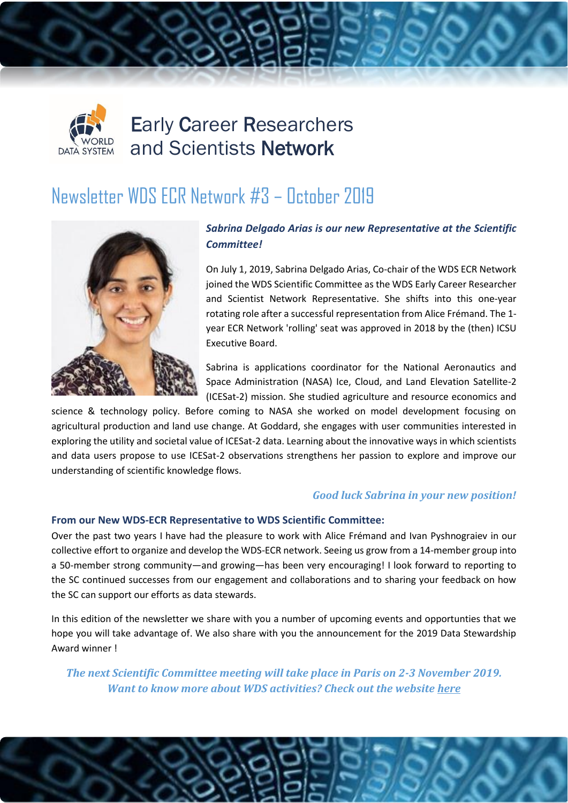

# Early Career Researchers and Scientists Network

## Newsletter WDS ECR Network #3 – October 2019



### *Sabrina Delgado Arias is our new Representative at the Scientific Committee!*

On July 1, 2019, Sabrina Delgado Arias, Co-chair of the WDS ECR Network joined the WDS Scientific Committee as the WDS Early Career Researcher and Scientist Network Representative. She shifts into this one-year rotating role after a successful representation from Alice Frémand. The 1 year ECR Network 'rolling' seat was approved in 2018 by the (then) ICSU Executive Board.

Sabrina is applications coordinator for the National Aeronautics and Space Administration (NASA) Ice, Cloud, and Land Elevation Satellite-2 (ICESat-2) mission. She studied agriculture and resource economics and

science & technology policy. Before coming to NASA she worked on model development focusing on agricultural production and land use change. At Goddard, she engages with user communities interested in exploring the utility and societal value of ICESat-2 data. Learning about the innovative ways in which scientists and data users propose to use ICESat-2 observations strengthens her passion to explore and improve our understanding of scientific knowledge flows.

#### *Good luck Sabrina in your new position!*

#### **From our New WDS-ECR Representative to WDS Scientific Committee:**

Over the past two years I have had the pleasure to work with Alice Frémand and Ivan Pyshnograiev in our collective effort to organize and develop the WDS-ECR network. Seeing us grow from a 14-member group into a 50-member strong community—and growing—has been very encouraging! I look forward to reporting to the SC continued successes from our engagement and collaborations and to sharing your feedback on how the SC can support our efforts as data stewards.

In this edition of the newsletter we share with you a number of upcoming events and opportunties that we hope you will take advantage of. We also share with you the announcement for the 2019 Data Stewardship Award winner !

*The next Scientific Committee meeting will take place in Paris on 2-3 November 2019. Want to know more about WDS activities? Check out the website [here](https://www.icsu-wds.org/organization)*